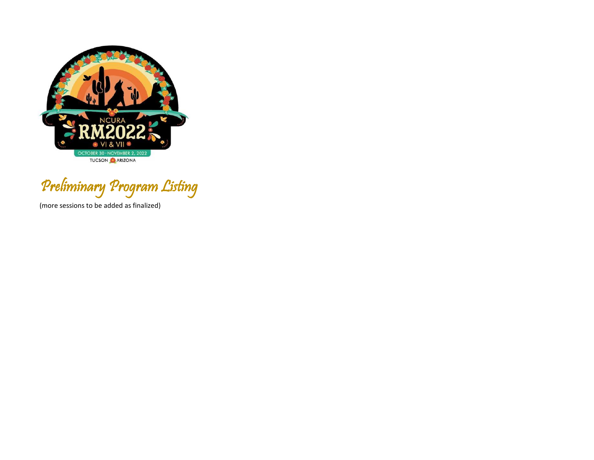

Preliminary Program Listing

(more sessions to be added as finalized)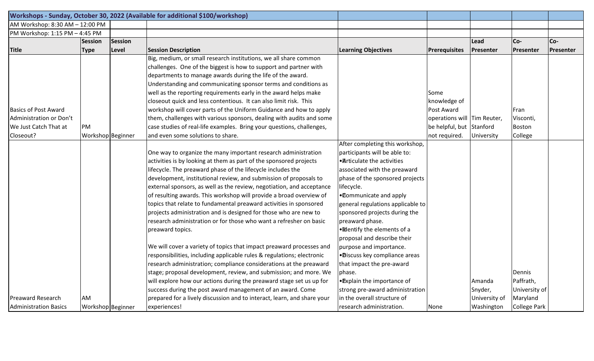|                                 |                   |         | Workshops - Sunday, October 30, 2022 (Available for additional \$100/workshop) |                                   |                             |               |                     |                  |
|---------------------------------|-------------------|---------|--------------------------------------------------------------------------------|-----------------------------------|-----------------------------|---------------|---------------------|------------------|
| AM Workshop: 8:30 AM - 12:00 PM |                   |         |                                                                                |                                   |                             |               |                     |                  |
| PM Workshop: 1:15 PM - 4:45 PM  |                   |         |                                                                                |                                   |                             |               |                     |                  |
|                                 | <b>Session</b>    | Session |                                                                                |                                   |                             | Lead          | Co-                 | Co-              |
| <b>Title</b>                    | <b>Type</b>       | Level   | <b>Session Description</b>                                                     | <b>Learning Objectives</b>        | Prerequisites               | Presenter     | Presenter           | <b>Presenter</b> |
|                                 |                   |         | Big, medium, or small research institutions, we all share common               |                                   |                             |               |                     |                  |
|                                 |                   |         | challenges. One of the biggest is how to support and partner with              |                                   |                             |               |                     |                  |
|                                 |                   |         | departments to manage awards during the life of the award.                     |                                   |                             |               |                     |                  |
|                                 |                   |         | Understanding and communicating sponsor terms and conditions as                |                                   |                             |               |                     |                  |
|                                 |                   |         | well as the reporting requirements early in the award helps make               |                                   | Some                        |               |                     |                  |
|                                 |                   |         | closeout quick and less contentious. It can also limit risk. This              |                                   | knowledge of                |               |                     |                  |
| <b>Basics of Post Award</b>     |                   |         | workshop will cover parts of the Uniform Guidance and how to apply             |                                   | Post Award                  |               | Fran                |                  |
| Administration or Don't         |                   |         | them, challenges with various sponsors, dealing with audits and some           |                                   | operations will Tim Reuter, |               | Visconti,           |                  |
| We Just Catch That at           | PM                |         | case studies of real-life examples. Bring your questions, challenges,          |                                   | be helpful, but Stanford    |               | Boston              |                  |
| Closeout?                       | Workshop Beginner |         | and even some solutions to share.                                              |                                   | not required.               | University    | College             |                  |
|                                 |                   |         |                                                                                | After completing this workshop,   |                             |               |                     |                  |
|                                 |                   |         | One way to organize the many important research administration                 | participants will be able to:     |                             |               |                     |                  |
|                                 |                   |         | activities is by looking at them as part of the sponsored projects             | • Articulate the activities       |                             |               |                     |                  |
|                                 |                   |         | lifecycle. The preaward phase of the lifecycle includes the                    | associated with the preaward      |                             |               |                     |                  |
|                                 |                   |         | development, institutional review, and submission of proposals to              | phase of the sponsored projects   |                             |               |                     |                  |
|                                 |                   |         | external sponsors, as well as the review, negotiation, and acceptance          | lifecycle.                        |                             |               |                     |                  |
|                                 |                   |         | of resulting awards. This workshop will provide a broad overview of            | . Communicate and apply           |                             |               |                     |                  |
|                                 |                   |         | topics that relate to fundamental preaward activities in sponsored             | general regulations applicable to |                             |               |                     |                  |
|                                 |                   |         | projects administration and is designed for those who are new to               | sponsored projects during the     |                             |               |                     |                  |
|                                 |                   |         | research administration or for those who want a refresher on basic             | preaward phase.                   |                             |               |                     |                  |
|                                 |                   |         | preaward topics.                                                               | · Mentify the elements of a       |                             |               |                     |                  |
|                                 |                   |         |                                                                                | proposal and describe their       |                             |               |                     |                  |
|                                 |                   |         | We will cover a variety of topics that impact preaward processes and           | purpose and importance.           |                             |               |                     |                  |
|                                 |                   |         | responsibilities, including applicable rules & regulations; electronic         | ·Discuss key compliance areas     |                             |               |                     |                  |
|                                 |                   |         | research administration; compliance considerations at the preaward             | that impact the pre-award         |                             |               |                     |                  |
|                                 |                   |         | stage; proposal development, review, and submission; and more. We              | phase.                            |                             |               | <b>Dennis</b>       |                  |
|                                 |                   |         | will explore how our actions during the preaward stage set us up for           | • Explain the importance of       |                             | Amanda        | Paffrath,           |                  |
|                                 |                   |         | success during the post award management of an award. Come                     | strong pre-award administration   |                             | Snyder,       | University of       |                  |
| <b>Preaward Research</b>        | AM                |         | prepared for a lively discussion and to interact, learn, and share your        | in the overall structure of       |                             | University of | Maryland            |                  |
| <b>Administration Basics</b>    | Workshop Beginner |         | experiences!                                                                   | research administration.          | None                        | Washington    | <b>College Park</b> |                  |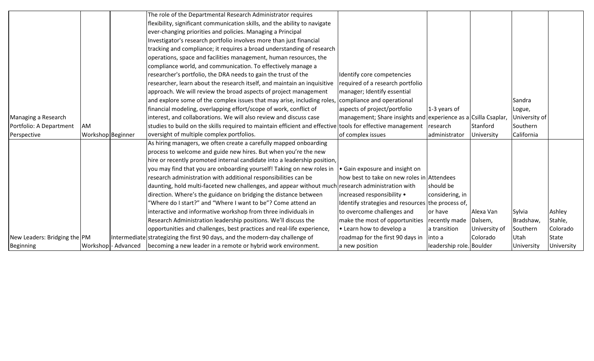|                              |                   | The role of the Departmental Research Administrator requires                                               |                                                                |                          |               |               |                   |
|------------------------------|-------------------|------------------------------------------------------------------------------------------------------------|----------------------------------------------------------------|--------------------------|---------------|---------------|-------------------|
|                              |                   | flexibility, significant communication skills, and the ability to navigate                                 |                                                                |                          |               |               |                   |
|                              |                   | ever-changing priorities and policies. Managing a Principal                                                |                                                                |                          |               |               |                   |
|                              |                   | Investigator's research portfolio involves more than just financial                                        |                                                                |                          |               |               |                   |
|                              |                   | tracking and compliance; it requires a broad understanding of research                                     |                                                                |                          |               |               |                   |
|                              |                   | operations, space and facilities management, human resources, the                                          |                                                                |                          |               |               |                   |
|                              |                   | compliance world, and communication. To effectively manage a                                               |                                                                |                          |               |               |                   |
|                              |                   | researcher's portfolio, the DRA needs to gain the trust of the                                             | Identify core competencies                                     |                          |               |               |                   |
|                              |                   | researcher, learn about the research itself, and maintain an inquisitive                                   | required of a research portfolio                               |                          |               |               |                   |
|                              |                   | approach. We will review the broad aspects of project management                                           | manager; Identify essential                                    |                          |               |               |                   |
|                              |                   | and explore some of the complex issues that may arise, including roles, compliance and operational         |                                                                |                          |               | Sandra        |                   |
|                              |                   | financial modeling, overlapping effort/scope of work, conflict of                                          | aspects of project/portfolio                                   | 1-3 years of             |               | Logue,        |                   |
| Managing a Research          |                   | interest, and collaborations. We will also review and discuss case                                         | management; Share insights and experience as a Csilla Csaplar, |                          |               | University of |                   |
| Portfolio: A Department      | AM                | studies to build on the skills required to maintain efficient and effective tools for effective management |                                                                | research                 | Stanford      | Southern      |                   |
| Perspective                  | Workshop Beginner | oversight of multiple complex portfolios.                                                                  | of complex issues                                              | administrator            | University    | California    |                   |
|                              |                   | As hiring managers, we often create a carefully mapped onboarding                                          |                                                                |                          |               |               |                   |
|                              |                   | process to welcome and guide new hires. But when you're the new                                            |                                                                |                          |               |               |                   |
|                              |                   | hire or recently promoted internal candidate into a leadership position,                                   |                                                                |                          |               |               |                   |
|                              |                   | you may find that you are onboarding yourself! Taking on new roles in                                      | • Gain exposure and insight on                                 |                          |               |               |                   |
|                              |                   | research administration with additional responsibilities can be                                            | how best to take on new roles in Attendees                     |                          |               |               |                   |
|                              |                   | daunting, hold multi-faceted new challenges, and appear without much research administration with          |                                                                | should be                |               |               |                   |
|                              |                   | direction. Where's the guidance on bridging the distance between                                           | increased responsibility •                                     | considering, in          |               |               |                   |
|                              |                   | "Where do I start?" and "Where I want to be"? Come attend an                                               | Identify strategies and resources the process of,              |                          |               |               |                   |
|                              |                   | interactive and informative workshop from three individuals in                                             | to overcome challenges and                                     | or have                  | Alexa Van     | Sylvia        | Ashley            |
|                              |                   | Research Administration leadership positions. We'll discuss the                                            | make the most of opportunities                                 | recently made            | Dalsem,       | Bradshaw,     | Stahle,           |
|                              |                   | opportunities and challenges, best practices and real-life experience,                                     | • Learn how to develop a                                       | a transition             | University of | Southern      | Colorado          |
| New Leaders: Bridging the PM |                   | Intermediate strategizing the first 90 days, and the modern-day challenge of                               | roadmap for the first 90 days in                               | into a                   | Colorado      | Utah          | <b>State</b>      |
| Beginning                    |                   | Workshop - Advanced   becoming a new leader in a remote or hybrid work environment.                        | a new position                                                 | leadership role. Boulder |               | University    | <b>University</b> |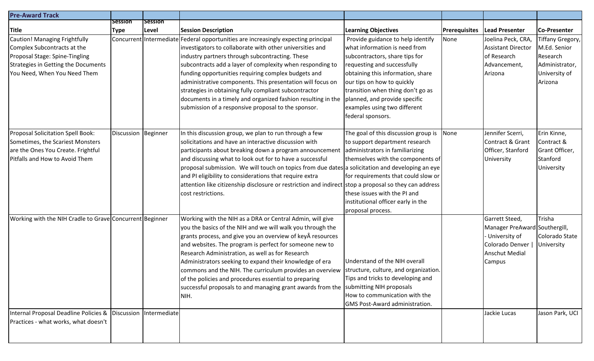| <b>Pre-Award Track</b>                                                                                                                                                |                     |                |                                                                                                                                                                                                                                                                                                                                                                                                                                                                                                                                                                                                 |                                                                                                                                                                                                                                                                                                                                   |                      |                                                                                                                 |                                                                                            |
|-----------------------------------------------------------------------------------------------------------------------------------------------------------------------|---------------------|----------------|-------------------------------------------------------------------------------------------------------------------------------------------------------------------------------------------------------------------------------------------------------------------------------------------------------------------------------------------------------------------------------------------------------------------------------------------------------------------------------------------------------------------------------------------------------------------------------------------------|-----------------------------------------------------------------------------------------------------------------------------------------------------------------------------------------------------------------------------------------------------------------------------------------------------------------------------------|----------------------|-----------------------------------------------------------------------------------------------------------------|--------------------------------------------------------------------------------------------|
|                                                                                                                                                                       | Session             | <b>Session</b> |                                                                                                                                                                                                                                                                                                                                                                                                                                                                                                                                                                                                 |                                                                                                                                                                                                                                                                                                                                   |                      |                                                                                                                 |                                                                                            |
| <b>Title</b>                                                                                                                                                          | Type                | Level          | <b>Session Description</b>                                                                                                                                                                                                                                                                                                                                                                                                                                                                                                                                                                      | <b>Learning Objectives</b>                                                                                                                                                                                                                                                                                                        | <b>Prerequisites</b> | <b>Lead Presenter</b>                                                                                           | Co-Presenter                                                                               |
| Caution! Managing Frightfully<br>Complex Subcontracts at the<br>Proposal Stage: Spine-Tingling<br>Strategies in Getting the Documents<br>You Need, When You Need Them | Concurrent          | Intermediate   | Federal opportunities are increasingly expecting principal<br>investigators to collaborate with other universities and<br>industry partners through subcontracting. These<br>subcontracts add a layer of complexity when responding to<br>funding opportunities requiring complex budgets and<br>administrative components. This presentation will focus on<br>strategies in obtaining fully compliant subcontractor<br>documents in a timely and organized fashion resulting in the<br>submission of a responsive proposal to the sponsor.                                                     | Provide guidance to help identify<br>what information is need from<br>subcontractors, share tips for<br>requesting and successfully<br>obtaining this information, share<br>our tips on how to quickly<br>transition when thing don't go as<br>planned, and provide specific<br>examples using two different<br>federal sponsors. | None                 | Joelina Peck, CRA,<br><b>Assistant Director</b><br>of Research<br>Advancement,<br>Arizona                       | Tiffany Gregory,<br>M.Ed. Senior<br>Research<br>Administrator,<br>University of<br>Arizona |
| Proposal Solicitation Spell Book:<br>Sometimes, the Scariest Monsters<br>are the Ones You Create. Frightful<br>Pitfalls and How to Avoid Them                         | Discussion Beginner |                | In this discussion group, we plan to run through a few<br>solicitations and have an interactive discussion with<br>participants about breaking down a program announcement<br>and discussing what to look out for to have a successful<br>proposal submission. We will touch on topics from due dates a solicitation and developing an eye<br>and PI eligibility to considerations that require extra<br>attention like citizenship disclosure or restriction and indirect stop a proposal so they can address<br>cost restrictions.                                                            | The goal of this discussion group is<br>to support department research<br>administrators in familiarizing<br>themselves with the components of<br>for requirements that could slow or<br>these issues with the PI and<br>institutional officer early in the<br>proposal process.                                                  | None                 | Jennifer Scerri,<br>Contract & Grant<br>Officer, Stanford<br>University                                         | Erin Kinne,<br>Contract &<br>Grant Officer,<br>Stanford<br>University                      |
| Working with the NIH Cradle to Grave Concurrent Beginner                                                                                                              |                     |                | Working with the NIH as a DRA or Central Admin, will give<br>you the basics of the NIH and we will walk you through the<br>grants process, and give you an overview of key resources<br>and websites. The program is perfect for someone new to<br>Research Administration, as well as for Research<br>Administrators seeking to expand their knowledge of era<br>commons and the NIH. The curriculum provides an overview Structure, culture, and organization.<br>of the policies and procedures essential to preparing<br>successful proposals to and managing grant awards from the<br>NIH. | Understand of the NIH overall<br>Tips and tricks to developing and<br>submitting NIH proposals<br>How to communication with the<br><b>GMS Post-Award administration.</b>                                                                                                                                                          |                      | Garrett Steed,<br>Manager PreAward Southergill,<br>University of<br>Colorado Denver<br>Anschut Medial<br>Campus | Trisha<br>Colorado State<br>University                                                     |
| Internal Proposal Deadline Policies & Discussion<br>Practices - what works, what doesn't                                                                              |                     | Intermediate   |                                                                                                                                                                                                                                                                                                                                                                                                                                                                                                                                                                                                 |                                                                                                                                                                                                                                                                                                                                   |                      | Jackie Lucas                                                                                                    | Jason Park, UCI                                                                            |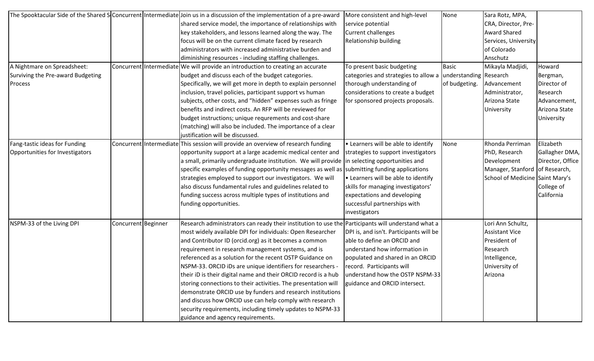|                                   |                     |                         | The Spooktacular Side of the Shared S <b>Concurrent</b> Intermediate Join us in a discussion of the implementation of a pre-award | More consistent and high-level          | None                   | Sara Rotz, MPA,                 |                  |
|-----------------------------------|---------------------|-------------------------|-----------------------------------------------------------------------------------------------------------------------------------|-----------------------------------------|------------------------|---------------------------------|------------------|
|                                   |                     |                         | shared service model, the importance of relationships with                                                                        | service potential                       |                        | CRA, Director, Pre-             |                  |
|                                   |                     |                         | key stakeholders, and lessons learned along the way. The                                                                          | <b>Current challenges</b>               |                        | <b>Award Shared</b>             |                  |
|                                   |                     |                         | focus will be on the current climate faced by research                                                                            | Relationship building                   |                        | Services, University            |                  |
|                                   |                     |                         | administrators with increased administrative burden and                                                                           |                                         |                        | of Colorado                     |                  |
|                                   |                     |                         | diminishing resources - including staffing challenges.                                                                            |                                         |                        | Anschutz                        |                  |
| A Nightmare on Spreadsheet:       |                     |                         | Concurrent Intermediate We will provide an introduction to creating an accurate                                                   | To present basic budgeting              | <b>Basic</b>           | Mikayla Madjidi,                | Howard           |
| Surviving the Pre-award Budgeting |                     |                         | budget and discuss each of the budget categories.                                                                                 | categories and strategies to allow a    | understanding Research |                                 | Bergman,         |
| Process                           |                     |                         | Specifically, we will get more in depth to explain personnel                                                                      | thorough understanding of               | of budgeting.          | Advancement                     | Director of      |
|                                   |                     |                         | inclusion, travel policies, participant support vs human                                                                          | considerations to create a budget       |                        | Administrator,                  | Research         |
|                                   |                     |                         | subjects, other costs, and "hidden" expenses such as fringe                                                                       | for sponsored projects proposals.       |                        | Arizona State                   | Advancement,     |
|                                   |                     |                         | benefits and indirect costs. An RFP will be reviewed for                                                                          |                                         |                        | University                      | Arizona State    |
|                                   |                     |                         | budget instructions; unique requrements and cost-share                                                                            |                                         |                        |                                 | University       |
|                                   |                     |                         | (matching) will also be included. The importance of a clear                                                                       |                                         |                        |                                 |                  |
|                                   |                     |                         | justification will be discussed.                                                                                                  |                                         |                        |                                 |                  |
| Fang-tastic ideas for Funding     |                     | Concurrent Intermediate | This session will provide an overview of research funding                                                                         | • Learners will be able to identify     | None                   | Rhonda Perriman                 | Elizabeth        |
| Opportunities for Investigators   |                     |                         | opportunity support at a large academic medical center and                                                                        | strategies to support investigators     |                        | PhD, Research                   | Gallagher DMA,   |
|                                   |                     |                         | a small, primarily undergraduate institution. We will provide in selecting opportunities and                                      |                                         |                        | Development                     | Director, Office |
|                                   |                     |                         | specific examples of funding opportunity messages as well as  submitting funding applications                                     |                                         |                        | Manager, Stanford               | of Research,     |
|                                   |                     |                         | strategies employed to support our investigators. We will                                                                         | • Learners will be able to identify     |                        | School of Medicine Saint Mary's |                  |
|                                   |                     |                         | also discuss fundamental rules and guidelines related to                                                                          | skills for managing investigators'      |                        |                                 | College of       |
|                                   |                     |                         | funding success across multiple types of institutions and                                                                         | expectations and developing             |                        |                                 | California       |
|                                   |                     |                         | funding opportunities.                                                                                                            | successful partnerships with            |                        |                                 |                  |
|                                   |                     |                         |                                                                                                                                   | investigators                           |                        |                                 |                  |
| NSPM-33 of the Living DPI         | Concurrent Beginner |                         | Research administrators can ready their institution to use the Participants will understand what a                                |                                         |                        | Lori Ann Schultz,               |                  |
|                                   |                     |                         | most widely available DPI for individuals: Open Researcher                                                                        | DPI is, and isn't. Participants will be |                        | <b>Assistant Vice</b>           |                  |
|                                   |                     |                         | and Contributor ID (orcid.org) as it becomes a common                                                                             | able to define an ORCID and             |                        | President of                    |                  |
|                                   |                     |                         | requirement in research management systems, and is                                                                                | understand how information in           |                        | Research                        |                  |
|                                   |                     |                         | referenced as a solution for the recent OSTP Guidance on                                                                          | populated and shared in an ORCID        |                        | Intelligence,                   |                  |
|                                   |                     |                         | NSPM-33. ORCID iDs are unique identifiers for researchers -                                                                       | record. Participants will               |                        | University of                   |                  |
|                                   |                     |                         | their iD is their digital name and their ORCID record is a hub                                                                    | understand how the OSTP NSPM-33         |                        | Arizona                         |                  |
|                                   |                     |                         | storing connections to their activities. The presentation will                                                                    | guidance and ORCID intersect.           |                        |                                 |                  |
|                                   |                     |                         | demonstrate ORCID use by funders and research institutions                                                                        |                                         |                        |                                 |                  |
|                                   |                     |                         | and discuss how ORCID use can help comply with research                                                                           |                                         |                        |                                 |                  |
|                                   |                     |                         | security requirements, including timely updates to NSPM-33                                                                        |                                         |                        |                                 |                  |
|                                   |                     |                         | guidance and agency requirements.                                                                                                 |                                         |                        |                                 |                  |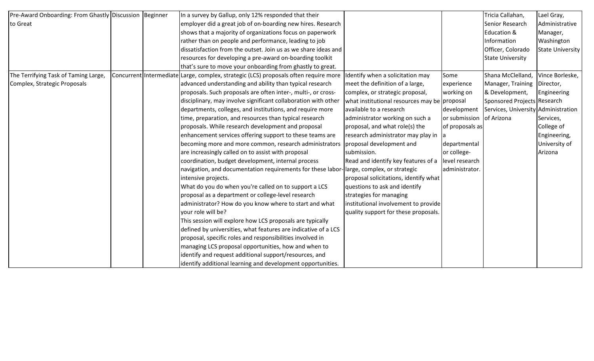| Pre-Award Onboarding: From Ghastly Discussion Beginner |  | In a survey by Gallup, only 12% responded that their                                 |                                              |                 | Tricia Callahan,                    | Lael Gray,              |
|--------------------------------------------------------|--|--------------------------------------------------------------------------------------|----------------------------------------------|-----------------|-------------------------------------|-------------------------|
| to Great                                               |  | employer did a great job of on-boarding new hires. Research                          |                                              |                 | Senior Research                     | Administrative          |
|                                                        |  | shows that a majority of organizations focus on paperwork                            |                                              |                 | Education &                         | Manager,                |
|                                                        |  | rather than on people and performance, leading to job                                |                                              |                 | Information                         | Washington              |
|                                                        |  | dissatisfaction from the outset. Join us as we share ideas and                       |                                              |                 | Officer, Colorado                   | <b>State University</b> |
|                                                        |  | resources for developing a pre-award on-boarding toolkit                             |                                              |                 | <b>State University</b>             |                         |
|                                                        |  | that's sure to move your onboarding from ghastly to great.                           |                                              |                 |                                     |                         |
| The Terrifying Task of Taming Large,                   |  | Concurrent Intermediate Large, complex, strategic (LCS) proposals often require more | Identify when a solicitation may             | Some            | Shana McClelland,                   | Vince Borleske,         |
| Complex, Strategic Proposals                           |  | advanced understanding and ability than typical research                             | meet the definition of a large,              | experience      | Manager, Training   Director,       |                         |
|                                                        |  | proposals. Such proposals are often inter-, multi-, or cross-                        | complex, or strategic proposal,              | working on      | & Development,                      | Engineering             |
|                                                        |  | disciplinary, may involve significant collaboration with other                       | what institutional resources may be proposal |                 | Sponsored Projects Research         |                         |
|                                                        |  | departments, colleges, and institutions, and require more                            | available to a research                      | development     | Services, University Administration |                         |
|                                                        |  | time, preparation, and resources than typical research                               | administrator working on such a              | or submission   | of Arizona                          | Services,               |
|                                                        |  | proposals. While research development and proposal                                   | proposal, and what role(s) the               | of proposals as |                                     | College of              |
|                                                        |  | enhancement services offering support to these teams are                             | research administrator may play in           |                 |                                     | Engineering,            |
|                                                        |  | becoming more and more common, research administrators                               | proposal development and                     | departmental    |                                     | University of           |
|                                                        |  | are increasingly called on to assist with proposal                                   | submission.                                  | or college-     |                                     | Arizona                 |
|                                                        |  | coordination, budget development, internal process                                   | Read and identify key features of a          | level research  |                                     |                         |
|                                                        |  | navigation, and documentation requirements for these labor                           | large, complex, or strategic                 | administrator.  |                                     |                         |
|                                                        |  | intensive projects.                                                                  | proposal solicitations, identify what        |                 |                                     |                         |
|                                                        |  | What do you do when you're called on to support a LCS                                | questions to ask and identify                |                 |                                     |                         |
|                                                        |  | proposal as a department or college-level research                                   | strategies for managing                      |                 |                                     |                         |
|                                                        |  | administrator? How do you know where to start and what                               | institutional involvement to provide         |                 |                                     |                         |
|                                                        |  | your role will be?                                                                   | quality support for these proposals.         |                 |                                     |                         |
|                                                        |  | This session will explore how LCS proposals are typically                            |                                              |                 |                                     |                         |
|                                                        |  | defined by universities, what features are indicative of a LCS                       |                                              |                 |                                     |                         |
|                                                        |  | proposal, specific roles and responsibilities involved in                            |                                              |                 |                                     |                         |
|                                                        |  | managing LCS proposal opportunities, how and when to                                 |                                              |                 |                                     |                         |
|                                                        |  | identify and request additional support/resources, and                               |                                              |                 |                                     |                         |
|                                                        |  | identify additional learning and development opportunities.                          |                                              |                 |                                     |                         |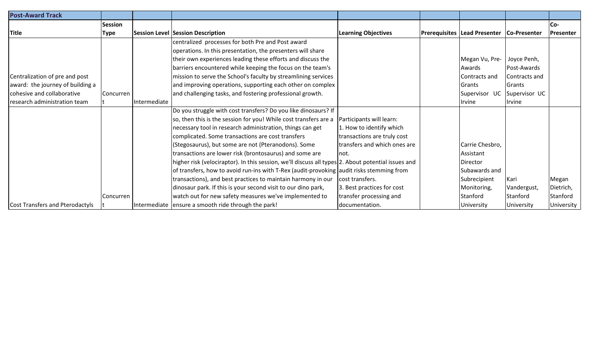| <b>Post-Award Track</b>          |                |              |                                                                                                    |                              |                                     |               |                  |
|----------------------------------|----------------|--------------|----------------------------------------------------------------------------------------------------|------------------------------|-------------------------------------|---------------|------------------|
|                                  | <b>Session</b> |              |                                                                                                    |                              |                                     |               | Co-              |
| <b>Title</b>                     | <b>Type</b>    |              | <b>Session Level Session Description</b>                                                           | <b>Learning Objectives</b>   | <b>Prerequisites Lead Presenter</b> | Co-Presenter  | <b>Presenter</b> |
|                                  |                |              | centralized processes for both Pre and Post award                                                  |                              |                                     |               |                  |
|                                  |                |              | operations. In this presentation, the presenters will share                                        |                              |                                     |               |                  |
|                                  |                |              | their own experiences leading these efforts and discuss the                                        |                              | Megan Vu, Pre-                      | Joyce Penh,   |                  |
|                                  |                |              | barriers encountered while keeping the focus on the team's                                         |                              | Awards                              | Post-Awards   |                  |
| Centralization of pre and post   |                |              | mission to serve the School's faculty by streamlining services                                     |                              | Contracts and                       | Contracts and |                  |
| award: the journey of building a |                |              | and improving operations, supporting each other on complex                                         |                              | Grants                              | Grants        |                  |
| cohesive and collaborative       | Concurren      |              | and challenging tasks, and fostering professional growth.                                          |                              | Supervisor UC                       | Supervisor UC |                  |
| research administration team     |                | Intermediate |                                                                                                    |                              | llrvine                             | <i>Irvine</i> |                  |
|                                  |                |              | Do you struggle with cost transfers? Do you like dinosaurs? If                                     |                              |                                     |               |                  |
|                                  |                |              | so, then this is the session for you! While cost transfers are a                                   | Participants will learn:     |                                     |               |                  |
|                                  |                |              | necessary tool in research administration, things can get                                          | 1. How to identify which     |                                     |               |                  |
|                                  |                |              | complicated. Some transactions are cost transfers                                                  | transactions are truly cost  |                                     |               |                  |
|                                  |                |              | (Stegosaurus), but some are not (Pteranodons). Some                                                | transfers and which ones are | Carrie Chesbro,                     |               |                  |
|                                  |                |              | transactions are lower risk (brontosaurus) and some are                                            | Inot.                        | Assistant                           |               |                  |
|                                  |                |              | higher risk (velociraptor). In this session, we'll discuss all types 2. About potential issues and |                              | Director                            |               |                  |
|                                  |                |              | of transfers, how to avoid run-ins with T-Rex (audit-provoking audit risks stemming from           |                              | Subawards and                       |               |                  |
|                                  |                |              | transactions), and best practices to maintain harmony in our                                       | cost transfers.              | Subrecipient                        | Kari          | Megan            |
|                                  |                |              | dinosaur park. If this is your second visit to our dino park,                                      | 3. Best practices for cost   | Monitoring,                         | Vandergust,   | Dietrich,        |
|                                  | Concurren      |              | watch out for new safety measures we've implemented to                                             | transfer processing and      | Stanford                            | Stanford      | Stanford         |
| Cost Transfers and Pterodactyls  |                |              | Intermediate ensure a smooth ride through the park!                                                | documentation.               | University                          | University    | University       |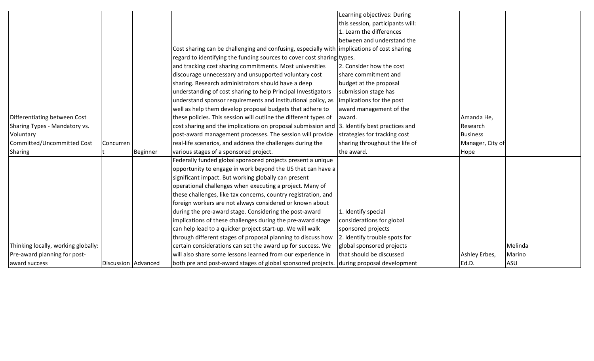|                                     |                     |          |                                                                                             | Learning objectives: During      |                  |         |  |
|-------------------------------------|---------------------|----------|---------------------------------------------------------------------------------------------|----------------------------------|------------------|---------|--|
|                                     |                     |          |                                                                                             | this session, participants will: |                  |         |  |
|                                     |                     |          |                                                                                             | 1. Learn the differences         |                  |         |  |
|                                     |                     |          |                                                                                             | between and understand the       |                  |         |  |
|                                     |                     |          | Cost sharing can be challenging and confusing, especially with implications of cost sharing |                                  |                  |         |  |
|                                     |                     |          | regard to identifying the funding sources to cover cost sharing types.                      |                                  |                  |         |  |
|                                     |                     |          | and tracking cost sharing commitments. Most universities                                    | 2. Consider how the cost         |                  |         |  |
|                                     |                     |          | discourage unnecessary and unsupported voluntary cost                                       | share commitment and             |                  |         |  |
|                                     |                     |          | sharing. Research administrators should have a deep                                         | budget at the proposal           |                  |         |  |
|                                     |                     |          | understanding of cost sharing to help Principal Investigators                               | submission stage has             |                  |         |  |
|                                     |                     |          | understand sponsor requirements and institutional policy, as                                | implications for the post        |                  |         |  |
|                                     |                     |          | well as help them develop proposal budgets that adhere to                                   | award management of the          |                  |         |  |
| Differentiating between Cost        |                     |          | these policies. This session will outline the different types of                            | award.                           | Amanda He,       |         |  |
| Sharing Types - Mandatory vs.       |                     |          | cost sharing and the implications on proposal submission and 3. Identify best practices and |                                  | Research         |         |  |
| Voluntary                           |                     |          | post-award management processes. The session will provide                                   | strategies for tracking cost     | <b>Business</b>  |         |  |
| Committed/Uncommitted Cost          | Concurren           |          | real-life scenarios, and address the challenges during the                                  | sharing throughout the life of   | Manager, City of |         |  |
| <b>Sharing</b>                      |                     | Beginner | various stages of a sponsored project.                                                      | the award.                       | Hope             |         |  |
|                                     |                     |          | Federally funded global sponsored projects present a unique                                 |                                  |                  |         |  |
|                                     |                     |          | opportunity to engage in work beyond the US that can have a                                 |                                  |                  |         |  |
|                                     |                     |          | significant impact. But working globally can present                                        |                                  |                  |         |  |
|                                     |                     |          | operational challenges when executing a project. Many of                                    |                                  |                  |         |  |
|                                     |                     |          | these challenges, like tax concerns, country registration, and                              |                                  |                  |         |  |
|                                     |                     |          | foreign workers are not always considered or known about                                    |                                  |                  |         |  |
|                                     |                     |          | during the pre-award stage. Considering the post-award                                      | 1. Identify special              |                  |         |  |
|                                     |                     |          | implications of these challenges during the pre-award stage                                 | considerations for global        |                  |         |  |
|                                     |                     |          | can help lead to a quicker project start-up. We will walk                                   | sponsored projects               |                  |         |  |
|                                     |                     |          | through different stages of proposal planning to discuss how                                | 2. Identify trouble spots for    |                  |         |  |
| Thinking locally, working globally: |                     |          | certain considerations can set the award up for success. We                                 | global sponsored projects        |                  | Melinda |  |
| Pre-award planning for post-        |                     |          | will also share some lessons learned from our experience in                                 | that should be discussed         | Ashley Erbes,    | Marino  |  |
| award success                       | Discussion Advanced |          | both pre and post-award stages of global sponsored projects.                                | during proposal development      | Ed.D.            | ASU     |  |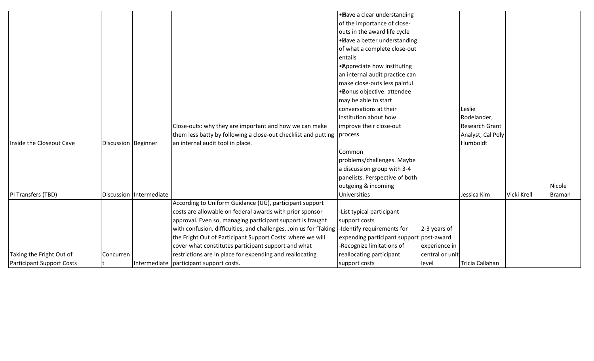|                                  |                     |                         |                                                                                               | • Bave a clear understanding             |                 |                       |             |               |
|----------------------------------|---------------------|-------------------------|-----------------------------------------------------------------------------------------------|------------------------------------------|-----------------|-----------------------|-------------|---------------|
|                                  |                     |                         |                                                                                               | of the importance of close-              |                 |                       |             |               |
|                                  |                     |                         |                                                                                               | outs in the award life cycle             |                 |                       |             |               |
|                                  |                     |                         |                                                                                               | • Bave a better understanding            |                 |                       |             |               |
|                                  |                     |                         |                                                                                               | of what a complete close-out             |                 |                       |             |               |
|                                  |                     |                         |                                                                                               | entails                                  |                 |                       |             |               |
|                                  |                     |                         |                                                                                               | • Appreciate how instituting             |                 |                       |             |               |
|                                  |                     |                         |                                                                                               | an internal audit practice can           |                 |                       |             |               |
|                                  |                     |                         |                                                                                               | make close-outs less painful             |                 |                       |             |               |
|                                  |                     |                         |                                                                                               | ·Bonus objective: attendee               |                 |                       |             |               |
|                                  |                     |                         |                                                                                               | may be able to start                     |                 |                       |             |               |
|                                  |                     |                         |                                                                                               | conversations at their                   |                 | Leslie                |             |               |
|                                  |                     |                         |                                                                                               | institution about how                    |                 | Rodelander,           |             |               |
|                                  |                     |                         | Close-outs: why they are important and how we can make                                        | improve their close-out                  |                 | <b>Research Grant</b> |             |               |
|                                  |                     |                         | them less batty by following a close-out checklist and putting process                        |                                          |                 | Analyst, Cal Poly     |             |               |
| Inside the Closeout Cave         | Discussion Beginner |                         | an internal audit tool in place.                                                              |                                          |                 | Humboldt              |             |               |
|                                  |                     |                         |                                                                                               | Common                                   |                 |                       |             |               |
|                                  |                     |                         |                                                                                               | problems/challenges. Maybe               |                 |                       |             |               |
|                                  |                     |                         |                                                                                               | a discussion group with 3-4              |                 |                       |             |               |
|                                  |                     |                         |                                                                                               | panelists. Perspective of both           |                 |                       |             |               |
|                                  |                     |                         |                                                                                               | outgoing & incoming                      |                 |                       |             | Nicole        |
| PI Transfers (TBD)               |                     | Discussion Intermediate |                                                                                               | Universities                             |                 | Jessica Kim           | Vicki Krell | <b>Braman</b> |
|                                  |                     |                         | According to Uniform Guidance (UG), participant support                                       |                                          |                 |                       |             |               |
|                                  |                     |                         | costs are allowable on federal awards with prior sponsor                                      | -List typical participant                |                 |                       |             |               |
|                                  |                     |                         | approval. Even so, managing participant support is fraught                                    | support costs                            |                 |                       |             |               |
|                                  |                     |                         | with confusion, difficulties, and challenges. Join us for 'Taking  -Identify requirements for |                                          | 2-3 years of    |                       |             |               |
|                                  |                     |                         | the Fright Out of Participant Support Costs' where we will                                    | expending participant support post-award |                 |                       |             |               |
|                                  |                     |                         | cover what constitutes participant support and what                                           | -Recognize limitations of                | experience in   |                       |             |               |
| Taking the Fright Out of         | <b>Concurren</b>    |                         | restrictions are in place for expending and reallocating                                      | reallocating participant                 | central or unit |                       |             |               |
| <b>Participant Support Costs</b> | lt.                 |                         | Intermediate participant support costs.                                                       | support costs                            | level           | Tricia Callahan       |             |               |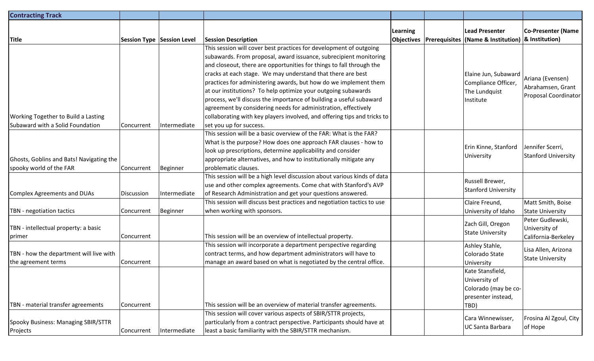| <b>Contracting Track</b>                   |            |                            |                                                                                                                                           |          |                                                                                      |                             |
|--------------------------------------------|------------|----------------------------|-------------------------------------------------------------------------------------------------------------------------------------------|----------|--------------------------------------------------------------------------------------|-----------------------------|
| <b>Title</b>                               |            | Session Type Session Level |                                                                                                                                           | Learning | Lead Presenter<br>Objectives   Prerequisites   (Name & Institution)   & Institution) | <b>Co-Presenter (Name</b>   |
|                                            |            |                            | <b>Session Description</b><br>This session will cover best practices for development of outgoing                                          |          |                                                                                      |                             |
|                                            |            |                            |                                                                                                                                           |          |                                                                                      |                             |
|                                            |            |                            | subawards. From proposal, award issuance, subrecipient monitoring<br>and closeout, there are opportunities for things to fall through the |          |                                                                                      |                             |
|                                            |            |                            | cracks at each stage. We may understand that there are best                                                                               |          |                                                                                      |                             |
|                                            |            |                            | practices for administering awards, but how do we implement them                                                                          |          | Elaine Jun, Subaward<br>Compliance Officer,                                          | Ariana (Evensen)            |
|                                            |            |                            | at our institutions? To help optimize your outgoing subawards                                                                             |          | The Lundquist                                                                        | Abrahamsen, Grant           |
|                                            |            |                            | process, we'll discuss the importance of building a useful subaward                                                                       |          | Institute                                                                            | <b>Proposal Coordinator</b> |
|                                            |            |                            | agreement by considering needs for administration, effectively                                                                            |          |                                                                                      |                             |
| <b>Working Together to Build a Lasting</b> |            |                            | collaborating with key players involved, and offering tips and tricks to                                                                  |          |                                                                                      |                             |
| Subaward with a Solid Foundation           | Concurrent | Intermediate               | set you up for success.                                                                                                                   |          |                                                                                      |                             |
|                                            |            |                            | This session will be a basic overview of the FAR: What is the FAR?                                                                        |          |                                                                                      |                             |
|                                            |            |                            | What is the purpose? How does one approach FAR clauses - how to                                                                           |          |                                                                                      |                             |
|                                            |            |                            | look up prescriptions, determine applicability and consider                                                                               |          | Erin Kinne, Stanford                                                                 | Jennifer Scerri,            |
| Ghosts, Goblins and Bats! Navigating the   |            |                            | appropriate alternatives, and how to institutionally mitigate any                                                                         |          | University                                                                           | <b>Stanford University</b>  |
| spooky world of the FAR                    | Concurrent | <b>Beginner</b>            | problematic clauses.                                                                                                                      |          |                                                                                      |                             |
|                                            |            |                            | This session will be a high level discussion about various kinds of data                                                                  |          | Russell Brewer,                                                                      |                             |
|                                            |            |                            | use and other complex agreements. Come chat with Stanford's AVP                                                                           |          |                                                                                      |                             |
| Complex Agreements and DUAs                | Discussion | Intermediate               | of Research Administration and get your questions answered.                                                                               |          | <b>Stanford University</b>                                                           |                             |
|                                            |            |                            | This session will discuss best practices and negotiation tactics to use                                                                   |          | Claire Freund,                                                                       | Matt Smith, Boise           |
| TBN - negotiation tactics                  | Concurrent | Beginner                   | when working with sponsors.                                                                                                               |          | University of Idaho                                                                  | <b>State University</b>     |
|                                            |            |                            |                                                                                                                                           |          | Zach Gill, Oregon                                                                    | Peter Gudlewski,            |
| TBN - intellectual property: a basic       |            |                            |                                                                                                                                           |          | <b>State University</b>                                                              | University of               |
| primer                                     | Concurrent |                            | This session will be an overview of intellectual property.                                                                                |          |                                                                                      | California-Berkeley         |
|                                            |            |                            | This session will incorporate a department perspective regarding                                                                          |          | Ashley Stahle,                                                                       | Lisa Allen, Arizona         |
| TBN - how the department will live with    |            |                            | contract terms, and how department administrators will have to                                                                            |          | Colorado State                                                                       | <b>State University</b>     |
| the agreement terms                        | Concurrent |                            | manage an award based on what is negotiated by the central office.                                                                        |          | University                                                                           |                             |
|                                            |            |                            |                                                                                                                                           |          | Kate Stansfield,                                                                     |                             |
|                                            |            |                            |                                                                                                                                           |          | University of                                                                        |                             |
|                                            |            |                            |                                                                                                                                           |          | Colorado (may be co-                                                                 |                             |
| TBN - material transfer agreements         | Concurrent |                            | This session will be an overview of material transfer agreements.                                                                         |          | presenter instead,                                                                   |                             |
|                                            |            |                            | This session will cover various aspects of SBIR/STTR projects,                                                                            |          | TBD)                                                                                 |                             |
| Spooky Business: Managing SBIR/STTR        |            |                            | particularly from a contract perspective. Participants should have at                                                                     |          | Cara Winnewisser,                                                                    | Frosina Al Zgoul, City      |
| Projects                                   | Concurrent | Intermediate               | least a basic familiarity with the SBIR/STTR mechanism.                                                                                   |          | <b>UC Santa Barbara</b>                                                              | of Hope                     |
|                                            |            |                            |                                                                                                                                           |          |                                                                                      |                             |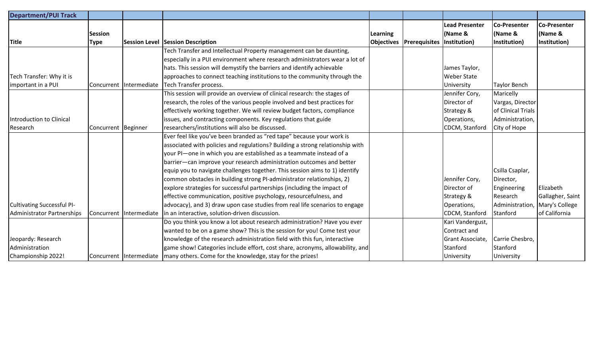| <b>Department/PUI Track</b>       |                               |              |                                                                                   |          |                                   |                                                  |                                         |                                                |
|-----------------------------------|-------------------------------|--------------|-----------------------------------------------------------------------------------|----------|-----------------------------------|--------------------------------------------------|-----------------------------------------|------------------------------------------------|
| <b>Title</b>                      | <b>Session</b><br><b>Type</b> |              | <b>Session Level Session Description</b>                                          | Learning | <b>Objectives   Prerequisites</b> | <b>Lead Presenter</b><br>(Name &<br>Institution) | Co-Presenter<br>(Name &<br>Institution) | <b>Co-Presenter</b><br>(Name &<br>Institution) |
|                                   |                               |              | Tech Transfer and Intellectual Property management can be daunting,               |          |                                   |                                                  |                                         |                                                |
|                                   |                               |              | especially in a PUI environment where research administrators wear a lot of       |          |                                   |                                                  |                                         |                                                |
|                                   |                               |              | hats. This session will demystify the barriers and identify achievable            |          |                                   | James Taylor,                                    |                                         |                                                |
| Tech Transfer: Why it is          |                               |              | approaches to connect teaching institutions to the community through the          |          |                                   | <b>Weber State</b>                               |                                         |                                                |
| important in a PUI                | Concurrent                    | Intermediate | Tech Transfer process.                                                            |          |                                   | University                                       | <b>Taylor Bench</b>                     |                                                |
|                                   |                               |              | This session will provide an overview of clinical research: the stages of         |          |                                   | Jennifer Cory,                                   | Maricelly                               |                                                |
|                                   |                               |              | research, the roles of the various people involved and best practices for         |          |                                   | Director of                                      | Vargas, Director                        |                                                |
|                                   |                               |              | effectively working together. We will review budget factors, compliance           |          |                                   | Strategy &                                       | of Clinical Trials                      |                                                |
| Introduction to Clinical          |                               |              | issues, and contracting components. Key regulations that guide                    |          |                                   | Operations,                                      | Administration,                         |                                                |
| Research                          | Concurrent Beginner           |              | researchers/institutions will also be discussed.                                  |          |                                   | CDCM, Stanford                                   | City of Hope                            |                                                |
|                                   |                               |              | Ever feel like you've been branded as "red tape" because your work is             |          |                                   |                                                  |                                         |                                                |
|                                   |                               |              | associated with policies and regulations? Building a strong relationship with     |          |                                   |                                                  |                                         |                                                |
|                                   |                               |              | your PI-one in which you are established as a teammate instead of a               |          |                                   |                                                  |                                         |                                                |
|                                   |                               |              | barrier—can improve your research administration outcomes and better              |          |                                   |                                                  |                                         |                                                |
|                                   |                               |              | equip you to navigate challenges together. This session aims to 1) identify       |          |                                   |                                                  | Csilla Csaplar,                         |                                                |
|                                   |                               |              | common obstacles in building strong PI-administrator relationships, 2)            |          |                                   | Jennifer Cory,                                   | Director,                               |                                                |
|                                   |                               |              | explore strategies for successful partnerships (including the impact of           |          |                                   | Director of                                      | Engineering                             | Elizabeth                                      |
|                                   |                               |              | effective communication, positive psychology, resourcefulness, and                |          |                                   | Strategy &                                       | Research                                | Gallagher, Saint                               |
| <b>Cultivating Successful PI-</b> |                               |              | advocacy), and 3) draw upon case studies from real life scenarios to engage       |          |                                   | Operations,                                      | Administration,                         | Mary's College                                 |
| Administrator Partnerships        | Concurrent                    |              | Intermediate in an interactive, solution-driven discussion.                       |          |                                   | CDCM, Stanford                                   | Stanford                                | of California                                  |
|                                   |                               |              | Do you think you know a lot about research administration? Have you ever          |          |                                   | Kari Vandergust,                                 |                                         |                                                |
|                                   |                               |              | wanted to be on a game show? This is the session for you! Come test your          |          |                                   | Contract and                                     |                                         |                                                |
| Jeopardy: Research                |                               |              | knowledge of the research administration field with this fun, interactive         |          |                                   | Grant Associate,                                 | Carrie Chesbro,                         |                                                |
| Administration                    |                               |              | game show! Categories include effort, cost share, acronyms, allowability, and     |          |                                   | Stanford                                         | Stanford                                |                                                |
| Championship 2022!                |                               |              | Concurrent Intermediate many others. Come for the knowledge, stay for the prizes! |          |                                   | University                                       | University                              |                                                |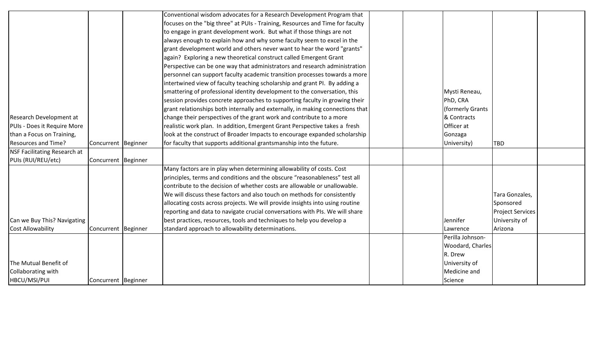|                              |                     | Conventional wisdom advocates for a Research Development Program that          |  |                  |                         |  |
|------------------------------|---------------------|--------------------------------------------------------------------------------|--|------------------|-------------------------|--|
|                              |                     | focuses on the "big three" at PUIs - Training, Resources and Time for faculty  |  |                  |                         |  |
|                              |                     | to engage in grant development work. But what if those things are not          |  |                  |                         |  |
|                              |                     | always enough to explain how and why some faculty seem to excel in the         |  |                  |                         |  |
|                              |                     | grant development world and others never want to hear the word "grants"        |  |                  |                         |  |
|                              |                     | again? Exploring a new theoretical construct called Emergent Grant             |  |                  |                         |  |
|                              |                     | Perspective can be one way that administrators and research administration     |  |                  |                         |  |
|                              |                     | personnel can support faculty academic transition processes towards a more     |  |                  |                         |  |
|                              |                     | intertwined view of faculty teaching scholarship and grant PI. By adding a     |  |                  |                         |  |
|                              |                     | smattering of professional identity development to the conversation, this      |  | Mysti Reneau,    |                         |  |
|                              |                     | session provides concrete approaches to supporting faculty in growing their    |  | PhD, CRA         |                         |  |
|                              |                     | grant relationships both internally and externally, in making connections that |  | (formerly Grants |                         |  |
| Research Development at      |                     | change their perspectives of the grant work and contribute to a more           |  | & Contracts      |                         |  |
| PUIs - Does it Require More  |                     | realistic work plan. In addition, Emergent Grant Perspective takes a fresh     |  | Officer at       |                         |  |
| than a Focus on Training,    |                     | look at the construct of Broader Impacts to encourage expanded scholarship     |  | Gonzaga          |                         |  |
| Resources and Time?          | Concurrent Beginner | for faculty that supports additional grantsmanship into the future.            |  | University)      | <b>TBD</b>              |  |
| NSF Facilitating Research at |                     |                                                                                |  |                  |                         |  |
| PUIs (RUI/REU/etc)           | Concurrent Beginner |                                                                                |  |                  |                         |  |
|                              |                     | Many factors are in play when determining allowability of costs. Cost          |  |                  |                         |  |
|                              |                     | principles, terms and conditions and the obscure "reasonableness" test all     |  |                  |                         |  |
|                              |                     | contribute to the decision of whether costs are allowable or unallowable.      |  |                  |                         |  |
|                              |                     | We will discuss these factors and also touch on methods for consistently       |  |                  | Tara Gonzales,          |  |
|                              |                     | allocating costs across projects. We will provide insights into using routine  |  |                  | Sponsored               |  |
|                              |                     | reporting and data to navigate crucial conversations with PIs. We will share   |  |                  | <b>Project Services</b> |  |
| Can we Buy This? Navigating  |                     | best practices, resources, tools and techniques to help you develop a          |  | Jennifer         | University of           |  |
| <b>Cost Allowability</b>     | Concurrent Beginner | standard approach to allowability determinations.                              |  | Lawrence         | Arizona                 |  |
|                              |                     |                                                                                |  | Perilla Johnson- |                         |  |
|                              |                     |                                                                                |  | Woodard, Charles |                         |  |
|                              |                     |                                                                                |  | R. Drew          |                         |  |
| The Mutual Benefit of        |                     |                                                                                |  | University of    |                         |  |
| Collaborating with           |                     |                                                                                |  | Medicine and     |                         |  |
| HBCU/MSI/PUI                 | Concurrent Beginner |                                                                                |  | Science          |                         |  |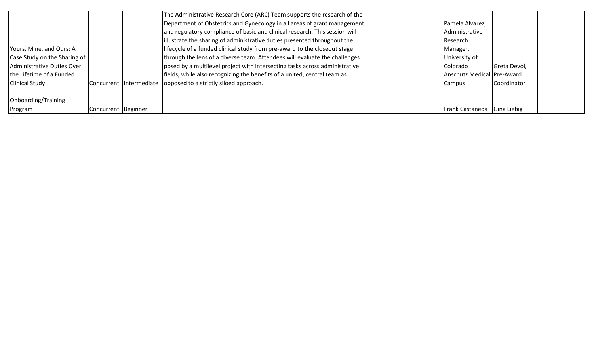|                              |                     | The Administrative Research Core (ARC) Team supports the research of the    |  |                            |              |  |
|------------------------------|---------------------|-----------------------------------------------------------------------------|--|----------------------------|--------------|--|
|                              |                     | Department of Obstetrics and Gynecology in all areas of grant management    |  | Pamela Alvarez,            |              |  |
|                              |                     | and regulatory compliance of basic and clinical research. This session will |  | Administrative             |              |  |
|                              |                     | illustrate the sharing of administrative duties presented throughout the    |  | Research                   |              |  |
| Yours, Mine, and Ours: A     |                     | lifecycle of a funded clinical study from pre-award to the closeout stage   |  | Manager,                   |              |  |
| Case Study on the Sharing of |                     | through the lens of a diverse team. Attendees will evaluate the challenges  |  | University of              |              |  |
| Administrative Duties Over   |                     | posed by a multilevel project with intersecting tasks across administrative |  | Colorado                   | Greta Devol, |  |
| the Lifetime of a Funded     |                     | fields, while also recognizing the benefits of a united, central team as    |  | Anschutz Medical Pre-Award |              |  |
| <b>Clinical Study</b>        |                     | Concurrent Intermediate lopposed to a strictly siloed approach.             |  | Campus                     | Coordinator  |  |
|                              |                     |                                                                             |  |                            |              |  |
| Onboarding/Training          |                     |                                                                             |  |                            |              |  |
| Program                      | Concurrent Beginner |                                                                             |  | <b>Frank Castaneda</b>     | Gina Liebig  |  |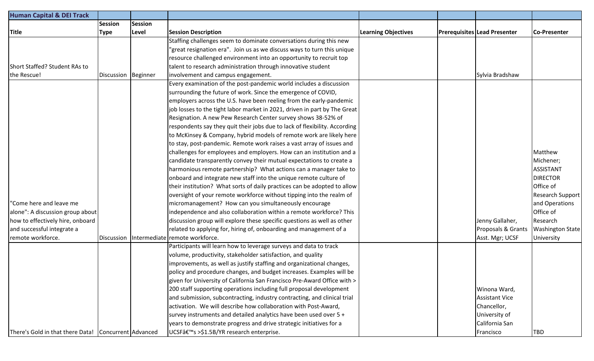| <b>Human Capital &amp; DEI Track</b>                 |                     |                |                                                                            |                            |                                     |                         |
|------------------------------------------------------|---------------------|----------------|----------------------------------------------------------------------------|----------------------------|-------------------------------------|-------------------------|
|                                                      | <b>Session</b>      | <b>Session</b> |                                                                            |                            |                                     |                         |
| <b>Title</b>                                         | <b>Type</b>         | Level          | <b>Session Description</b>                                                 | <b>Learning Objectives</b> | <b>Prerequisites Lead Presenter</b> | Co-Presenter            |
|                                                      |                     |                | Staffing challenges seem to dominate conversations during this new         |                            |                                     |                         |
|                                                      |                     |                | 'great resignation era". Join us as we discuss ways to turn this unique    |                            |                                     |                         |
|                                                      |                     |                | resource challenged environment into an opportunity to recruit top         |                            |                                     |                         |
| Short Staffed? Student RAs to                        |                     |                | talent to research administration through innovative student               |                            |                                     |                         |
| the Rescue!                                          | Discussion Beginner |                | involvement and campus engagement.                                         |                            | Sylvia Bradshaw                     |                         |
|                                                      |                     |                | Every examination of the post-pandemic world includes a discussion         |                            |                                     |                         |
|                                                      |                     |                | surrounding the future of work. Since the emergence of COVID,              |                            |                                     |                         |
|                                                      |                     |                | employers across the U.S. have been reeling from the early-pandemic        |                            |                                     |                         |
|                                                      |                     |                | job losses to the tight labor market in 2021, driven in part by The Great  |                            |                                     |                         |
|                                                      |                     |                | Resignation. A new Pew Research Center survey shows 38-52% of              |                            |                                     |                         |
|                                                      |                     |                | respondents say they quit their jobs due to lack of flexibility. According |                            |                                     |                         |
|                                                      |                     |                | to McKinsey & Company, hybrid models of remote work are likely here        |                            |                                     |                         |
|                                                      |                     |                | to stay, post-pandemic. Remote work raises a vast array of issues and      |                            |                                     |                         |
|                                                      |                     |                | challenges for employees and employers. How can an institution and a       |                            |                                     | Matthew                 |
|                                                      |                     |                | candidate transparently convey their mutual expectations to create a       |                            |                                     | Michener;               |
|                                                      |                     |                | harmonious remote partnership? What actions can a manager take to          |                            |                                     | <b>ASSISTANT</b>        |
|                                                      |                     |                | onboard and integrate new staff into the unique remote culture of          |                            |                                     | <b>DIRECTOR</b>         |
|                                                      |                     |                | their institution? What sorts of daily practices can be adopted to allow   |                            |                                     | Office of               |
|                                                      |                     |                | oversight of your remote workforce without tipping into the realm of       |                            |                                     | <b>Research Support</b> |
| "Come here and leave me                              |                     |                | micromanagement? How can you simultaneously encourage                      |                            |                                     | and Operations          |
| alone": A discussion group about                     |                     |                | independence and also collaboration within a remote workforce? This        |                            |                                     | Office of               |
| how to effectively hire, onboard                     |                     |                | discussion group will explore these specific questions as well as other    |                            | Jenny Gallaher,                     | Research                |
| and successful integrate a                           |                     |                | related to applying for, hiring of, onboarding and management of a         |                            | Proposals & Grants                  | <b>Washington State</b> |
| remote workforce.                                    |                     |                | Discussion Intermediate remote workforce.                                  |                            | Asst. Mgr; UCSF                     | University              |
|                                                      |                     |                | Participants will learn how to leverage surveys and data to track          |                            |                                     |                         |
|                                                      |                     |                | volume, productivity, stakeholder satisfaction, and quality                |                            |                                     |                         |
|                                                      |                     |                | improvements, as well as justify staffing and organizational changes,      |                            |                                     |                         |
|                                                      |                     |                | policy and procedure changes, and budget increases. Examples will be       |                            |                                     |                         |
|                                                      |                     |                | given for University of California San Francisco Pre-Award Office with >   |                            |                                     |                         |
|                                                      |                     |                | 200 staff supporting operations including full proposal development        |                            | Winona Ward,                        |                         |
|                                                      |                     |                | and submission, subcontracting, industry contracting, and clinical trial   |                            | <b>Assistant Vice</b>               |                         |
|                                                      |                     |                | activation. We will describe how collaboration with Post-Award,            |                            | Chancellor,                         |                         |
|                                                      |                     |                | survey instruments and detailed analytics have been used over 5 +          |                            | University of                       |                         |
|                                                      |                     |                | years to demonstrate progress and drive strategic initiatives for a        |                            | California San                      |                         |
| There's Gold in that there Data! Concurrent Advanced |                     |                | UCSF's >\$1.5B/YR research enterprise.                                     |                            | Francisco                           | <b>TBD</b>              |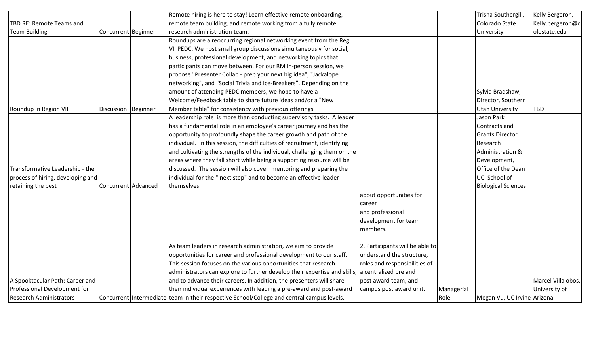|                                   |                     | Remote hiring is here to stay! Learn effective remote onboarding,                               |                                 |            | Trisha Southergill,         | Kelly Bergeron,    |
|-----------------------------------|---------------------|-------------------------------------------------------------------------------------------------|---------------------------------|------------|-----------------------------|--------------------|
| TBD RE: Remote Teams and          |                     | remote team building, and remote working from a fully remote                                    |                                 |            | Colorado State              | Kelly.bergeron@c   |
| <b>Team Building</b>              | Concurrent Beginner | research administration team.                                                                   |                                 |            | University                  | olostate.edu       |
|                                   |                     | Roundups are a reoccurring regional networking event from the Reg.                              |                                 |            |                             |                    |
|                                   |                     | VII PEDC. We host small group discussions simultaneously for social,                            |                                 |            |                             |                    |
|                                   |                     | business, professional development, and networking topics that                                  |                                 |            |                             |                    |
|                                   |                     | participants can move between. For our RM in-person session, we                                 |                                 |            |                             |                    |
|                                   |                     | propose "Presenter Collab - prep your next big idea", "Jackalope                                |                                 |            |                             |                    |
|                                   |                     | networking", and "Social Trivia and Ice-Breakers". Depending on the                             |                                 |            |                             |                    |
|                                   |                     | amount of attending PEDC members, we hope to have a                                             |                                 |            | Sylvia Bradshaw,            |                    |
|                                   |                     | Welcome/Feedback table to share future ideas and/or a "New                                      |                                 |            | Director, Southern          |                    |
| Roundup in Region VII             | Discussion Beginner | Member table" for consistency with previous offerings.                                          |                                 |            | Utah University             | <b>TBD</b>         |
|                                   |                     | A leadership role is more than conducting supervisory tasks. A leader                           |                                 |            | Jason Park                  |                    |
|                                   |                     | has a fundamental role in an employee's career journey and has the                              |                                 |            | Contracts and               |                    |
|                                   |                     | opportunity to profoundly shape the career growth and path of the                               |                                 |            | <b>Grants Director</b>      |                    |
|                                   |                     | individual. In this session, the difficulties of recruitment, identifying                       |                                 |            | Research                    |                    |
|                                   |                     | and cultivating the strengths of the individual, challenging them on the                        |                                 |            | Administration &            |                    |
|                                   |                     | areas where they fall short while being a supporting resource will be                           |                                 |            | Development,                |                    |
| Transformative Leadership - the   |                     | discussed. The session will also cover mentoring and preparing the                              |                                 |            | Office of the Dean          |                    |
| process of hiring, developing and |                     | individual for the " next step" and to become an effective leader                               |                                 |            | UCI School of               |                    |
| retaining the best                | Concurrent Advanced | themselves.                                                                                     |                                 |            | <b>Biological Sciences</b>  |                    |
|                                   |                     |                                                                                                 | about opportunities for         |            |                             |                    |
|                                   |                     |                                                                                                 | career                          |            |                             |                    |
|                                   |                     |                                                                                                 | and professional                |            |                             |                    |
|                                   |                     |                                                                                                 | development for team            |            |                             |                    |
|                                   |                     |                                                                                                 | members.                        |            |                             |                    |
|                                   |                     | As team leaders in research administration, we aim to provide                                   | 2. Participants will be able to |            |                             |                    |
|                                   |                     | opportunities for career and professional development to our staff.                             | understand the structure,       |            |                             |                    |
|                                   |                     | This session focuses on the various opportunities that research                                 | roles and responsibilities of   |            |                             |                    |
|                                   |                     | administrators can explore to further develop their expertise and skills, a centralized pre and |                                 |            |                             |                    |
| A Spooktacular Path: Career and   |                     | and to advance their careers. In addition, the presenters will share                            | post award team, and            |            |                             | Marcel Villalobos, |
| Professional Development for      |                     | their individual experiences with leading a pre-award and post-award                            | campus post award unit.         | Managerial |                             | University of      |
| <b>Research Administrators</b>    |                     | Concurrent Intermediate team in their respective School/College and central campus levels.      |                                 | Role       | Megan Vu, UC Irvine Arizona |                    |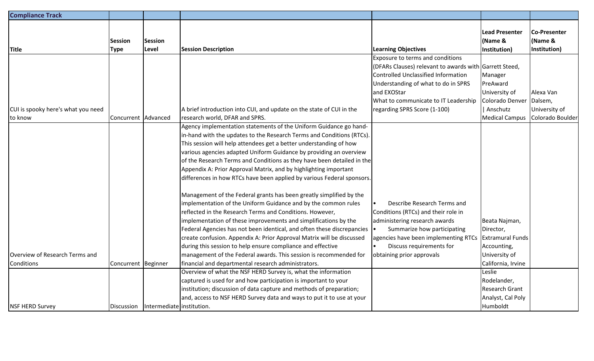| <b>Compliance Track</b>            |                     |                                          |                                                                        |                                                        |                         |                     |
|------------------------------------|---------------------|------------------------------------------|------------------------------------------------------------------------|--------------------------------------------------------|-------------------------|---------------------|
|                                    |                     |                                          |                                                                        |                                                        |                         |                     |
|                                    |                     |                                          |                                                                        |                                                        | <b>Lead Presenter</b>   | <b>Co-Presenter</b> |
|                                    | <b>Session</b>      | <b>Session</b>                           |                                                                        |                                                        | (Name &                 | (Name &             |
| <b>Title</b>                       | <b>Type</b>         | Level                                    | <b>Session Description</b>                                             | <b>Learning Objectives</b>                             | Institution)            | Institution)        |
|                                    |                     |                                          |                                                                        | Exposure to terms and conditions                       |                         |                     |
|                                    |                     |                                          |                                                                        | (DFARs Clauses) relevant to awards with Garrett Steed, |                         |                     |
|                                    |                     |                                          |                                                                        | Controlled Unclassified Information                    | Manager                 |                     |
|                                    |                     |                                          |                                                                        | Understanding of what to do in SPRS                    | PreAward                |                     |
|                                    |                     |                                          |                                                                        | and EXOStar                                            | University of           | Alexa Van           |
|                                    |                     |                                          |                                                                        | What to communicate to IT Leadership                   | Colorado Denver         | Dalsem,             |
| CUI is spooky here's what you need |                     |                                          | A brief introduction into CUI, and update on the state of CUI in the   | regarding SPRS Score (1-100)                           | Anschutz                | University of       |
| to know                            | Concurrent Advanced |                                          | research world, DFAR and SPRS.                                         |                                                        | <b>Medical Campus</b>   | Colorado Boulder    |
|                                    |                     |                                          | Agency implementation statements of the Uniform Guidance go hand-      |                                                        |                         |                     |
|                                    |                     |                                          | in-hand with the updates to the Research Terms and Conditions (RTCs).  |                                                        |                         |                     |
|                                    |                     |                                          | This session will help attendees get a better understanding of how     |                                                        |                         |                     |
|                                    |                     |                                          | various agencies adapted Uniform Guidance by providing an overview     |                                                        |                         |                     |
|                                    |                     |                                          | of the Research Terms and Conditions as they have been detailed in the |                                                        |                         |                     |
|                                    |                     |                                          | Appendix A: Prior Approval Matrix, and by highlighting important       |                                                        |                         |                     |
|                                    |                     |                                          | differences in how RTCs have been applied by various Federal sponsors. |                                                        |                         |                     |
|                                    |                     |                                          | Management of the Federal grants has been greatly simplified by the    |                                                        |                         |                     |
|                                    |                     |                                          | implementation of the Uniform Guidance and by the common rules         | Describe Research Terms and                            |                         |                     |
|                                    |                     |                                          | reflected in the Research Terms and Conditions. However,               | Conditions (RTCs) and their role in                    |                         |                     |
|                                    |                     |                                          | implementation of these improvements and simplifications by the        | administering research awards                          | Beata Najman,           |                     |
|                                    |                     |                                          | Federal Agencies has not been identical, and often these discrepancies | Summarize how participating                            | Director,               |                     |
|                                    |                     |                                          | create confusion. Appendix A: Prior Approval Matrix will be discussed  | agencies have been implementing RTCs                   | <b>Extramural Funds</b> |                     |
|                                    |                     |                                          | during this session to help ensure compliance and effective            | Discuss requirements for                               | Accounting,             |                     |
| Overview of Research Terms and     |                     |                                          | management of the Federal awards. This session is recommended for      | obtaining prior approvals                              | University of           |                     |
| Conditions                         | Concurrent Beginner |                                          | financial and departmental research administrators.                    |                                                        | California, Irvine      |                     |
|                                    |                     |                                          | Overview of what the NSF HERD Survey is, what the information          |                                                        | Leslie                  |                     |
|                                    |                     |                                          | captured is used for and how participation is important to your        |                                                        | Rodelander,             |                     |
|                                    |                     |                                          | institution; discussion of data capture and methods of preparation;    |                                                        | Research Grant          |                     |
|                                    |                     |                                          | and, access to NSF HERD Survey data and ways to put it to use at your  |                                                        | Analyst, Cal Poly       |                     |
| <b>NSF HERD Survey</b>             |                     | Discussion   Intermediate   institution. |                                                                        |                                                        | Humboldt                |                     |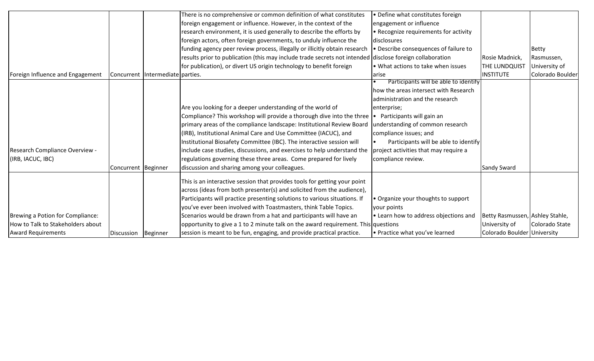|                                   |                     |                                  | There is no comprehensive or common definition of what constitutes                                       | • Define what constitutes foreign     |                                 |                  |
|-----------------------------------|---------------------|----------------------------------|----------------------------------------------------------------------------------------------------------|---------------------------------------|---------------------------------|------------------|
|                                   |                     |                                  | foreign engagement or influence. However, in the context of the                                          | engagement or influence               |                                 |                  |
|                                   |                     |                                  | research environment, it is used generally to describe the efforts by                                    | • Recognize requirements for activity |                                 |                  |
|                                   |                     |                                  | foreign actors, often foreign governments, to unduly influence the                                       | Idisclosures                          |                                 |                  |
|                                   |                     |                                  | funding agency peer review process, illegally or illicitly obtain research                               | • Describe consequences of failure to |                                 | <b>Betty</b>     |
|                                   |                     |                                  | results prior to publication (this may include trade secrets not intended disclose foreign collaboration |                                       | Rosie Madnick,                  | Rasmussen,       |
|                                   |                     |                                  | for publication), or divert US origin technology to benefit foreign                                      | • What actions to take when issues    | THE LUNDQUIST                   | University of    |
| Foreign Influence and Engagement  |                     | Concurrent Intermediate parties. |                                                                                                          | larise                                | <b>INSTITUTE</b>                | Colorado Boulder |
|                                   |                     |                                  |                                                                                                          | Participants will be able to identify |                                 |                  |
|                                   |                     |                                  |                                                                                                          | how the areas intersect with Research |                                 |                  |
|                                   |                     |                                  |                                                                                                          | administration and the research       |                                 |                  |
|                                   |                     |                                  | Are you looking for a deeper understanding of the world of                                               | enterprise;                           |                                 |                  |
|                                   |                     |                                  | Compliance? This workshop will provide a thorough dive into the three $\cdot$ Participants will gain an  |                                       |                                 |                  |
|                                   |                     |                                  | primary areas of the compliance landscape: Institutional Review Board                                    | understanding of common research      |                                 |                  |
|                                   |                     |                                  | (IRB), Institutional Animal Care and Use Committee (IACUC), and                                          | compliance issues; and                |                                 |                  |
|                                   |                     |                                  | Institutional Biosafety Committee (IBC). The interactive session will                                    | Participants will be able to identify |                                 |                  |
| Research Compliance Overview -    |                     |                                  | include case studies, discussions, and exercises to help understand the                                  | project activities that may require a |                                 |                  |
| (IRB, IACUC, IBC)                 |                     |                                  | regulations governing these three areas. Come prepared for lively                                        | compliance review.                    |                                 |                  |
|                                   | Concurrent Beginner |                                  | discussion and sharing among your colleagues.                                                            |                                       | <b>Sandy Sward</b>              |                  |
|                                   |                     |                                  | This is an interactive session that provides tools for getting your point                                |                                       |                                 |                  |
|                                   |                     |                                  | across (ideas from both presenter(s) and solicited from the audience),                                   |                                       |                                 |                  |
|                                   |                     |                                  | Participants will practice presenting solutions to various situations. If                                | • Organize your thoughts to support   |                                 |                  |
|                                   |                     |                                  | you've ever been involved with Toastmasters, think Table Topics.                                         | your points                           |                                 |                  |
| Brewing a Potion for Compliance:  |                     |                                  | Scenarios would be drawn from a hat and participants will have an                                        | • Learn how to address objections and | Betty Rasmussen, Ashley Stahle, |                  |
| How to Talk to Stakeholders about |                     |                                  | opportunity to give a 1 to 2 minute talk on the award requirement. This questions                        |                                       | University of                   | Colorado State   |
| <b>Award Requirements</b>         | Discussion Beginner |                                  | session is meant to be fun, engaging, and provide practical practice.                                    | • Practice what you've learned        | Colorado Boulder University     |                  |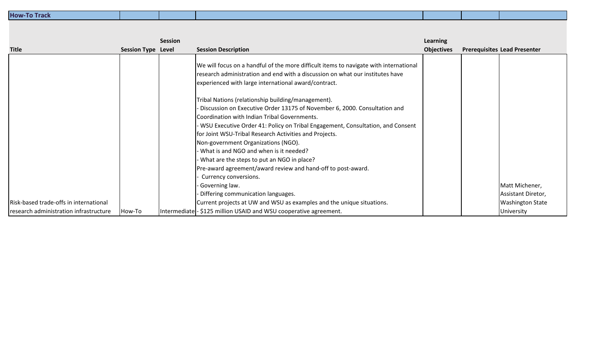| <b>How-To Track</b> |  |  |  |
|---------------------|--|--|--|
|                     |  |  |  |

|                                        |                           | <b>Session</b> |                                                                                                                                                                                                                                | Learning          |                                     |  |
|----------------------------------------|---------------------------|----------------|--------------------------------------------------------------------------------------------------------------------------------------------------------------------------------------------------------------------------------|-------------------|-------------------------------------|--|
| <b>Title</b>                           | <b>Session Type Level</b> |                | <b>Session Description</b>                                                                                                                                                                                                     | <b>Objectives</b> | <b>Prerequisites Lead Presenter</b> |  |
|                                        |                           |                | We will focus on a handful of the more difficult items to navigate with international<br>research administration and end with a discussion on what our institutes have<br>experienced with large international award/contract. |                   |                                     |  |
|                                        |                           |                | Tribal Nations (relationship building/management).                                                                                                                                                                             |                   |                                     |  |
|                                        |                           |                | - Discussion on Executive Order 13175 of November 6, 2000. Consultation and                                                                                                                                                    |                   |                                     |  |
|                                        |                           |                | Coordination with Indian Tribal Governments.                                                                                                                                                                                   |                   |                                     |  |
|                                        |                           |                | WSU Executive Order 41: Policy on Tribal Engagement, Consultation, and Consent                                                                                                                                                 |                   |                                     |  |
|                                        |                           |                | for Joint WSU-Tribal Research Activities and Projects.                                                                                                                                                                         |                   |                                     |  |
|                                        |                           |                | Non-government Organizations (NGO).                                                                                                                                                                                            |                   |                                     |  |
|                                        |                           |                | What is and NGO and when is it needed?                                                                                                                                                                                         |                   |                                     |  |
|                                        |                           |                | What are the steps to put an NGO in place?                                                                                                                                                                                     |                   |                                     |  |
|                                        |                           |                | Pre-award agreement/award review and hand-off to post-award.                                                                                                                                                                   |                   |                                     |  |
|                                        |                           |                | Currency conversions.                                                                                                                                                                                                          |                   |                                     |  |
|                                        |                           |                | Governing law.                                                                                                                                                                                                                 |                   | Matt Michener,                      |  |
|                                        |                           |                | Differing communication languages.                                                                                                                                                                                             |                   | Assistant Diretor,                  |  |
| Risk-based trade-offs in international |                           |                | Current projects at UW and WSU as examples and the unique situations.                                                                                                                                                          |                   | <b>Washington State</b>             |  |
| research administration infrastructure | How-To                    |                | Intermediate - \$125 million USAID and WSU cooperative agreement.                                                                                                                                                              |                   | University                          |  |